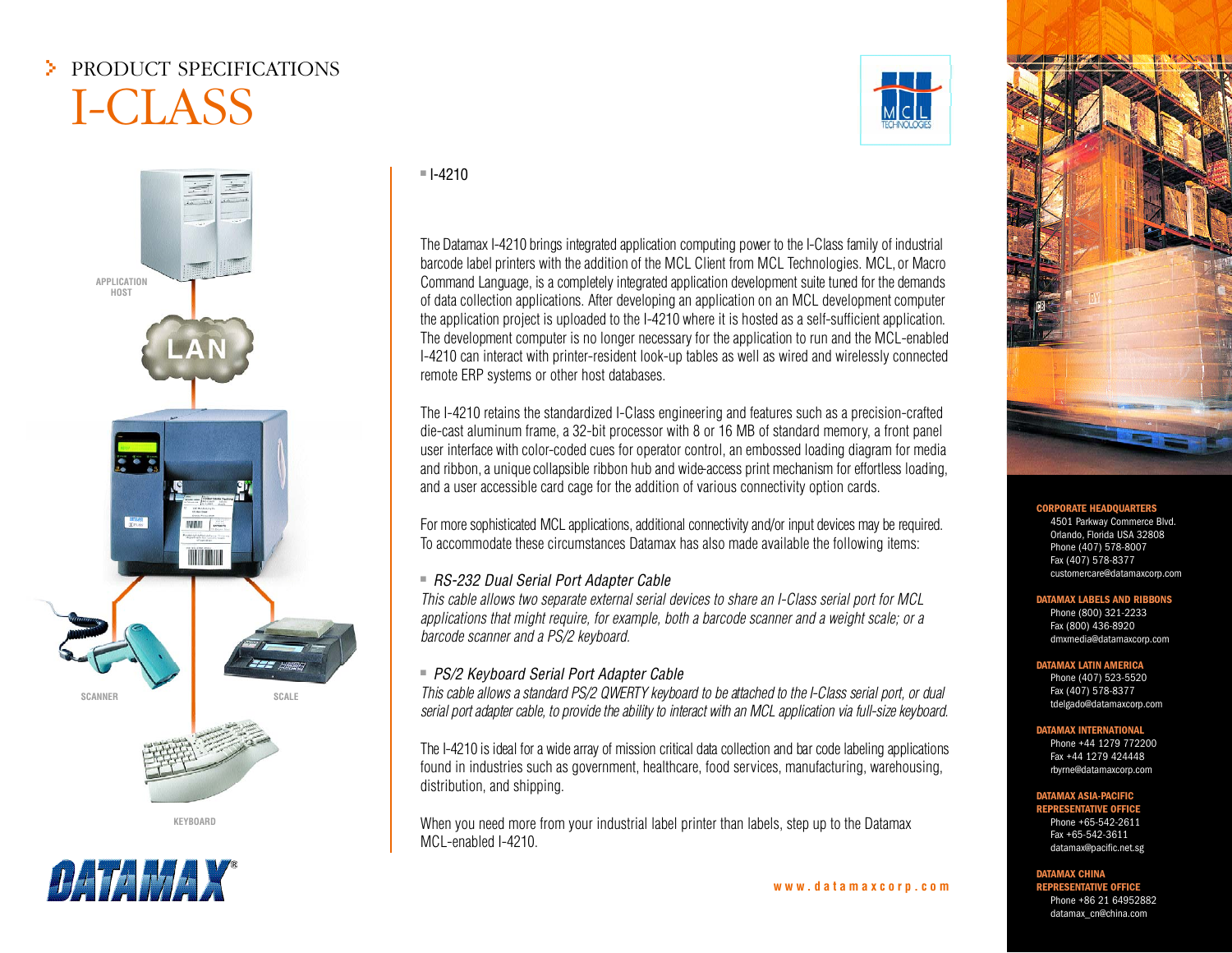# > PRODUCT SPECIFICATIONS I-CLASS



**KEYBOARD** 



■ I-4210

The Datamax I-4210 brings integrated application computing power to the I-Class family of industrial barcode label printers with the addition of the MCL Client from MCL Technologies. MCL, or Macro Command Language, is a completely integrated application development suite tuned for the demands of data collection applications. After developing an application on an MCL development computer the application project is uploaded to the I-4210 where it is hosted as <sup>a</sup> self-sufficient application. The development computer is no longer necessary for the application to run and the MCL-enabled I-4210 can interact with printer-resident look-up tables as well as wired and wirelessly connected remote ERP systems or other host databases.

The I-4210 retains the standardized I-Class engineering and features such as <sup>a</sup> precision-crafted die-cast aluminum frame, <sup>a</sup> 32-bit processor with 8 or 16 MB of standard memory, <sup>a</sup> front panel user interface with color-coded cues for operator control, an embossed loading diagram for media and ribbon, a unique collapsible ribbon hub and wide-access print mechanism for effortless loading, and <sup>a</sup> user accessible card cage for the addition of various connectivity option cards.

For more sophisticated MCL applications, additional connectivity and/or input devices may be required. To accommodate these circumstances Datamax has also made available the following items:

## n RS-232 Dual Serial Port Adapter Cable

This cable allows two separate external serial devices to share an I-Class serial port for MCL applications that might require, for example, both <sup>a</sup> barcode scanner and <sup>a</sup> weight scale; or <sup>a</sup> barcode scanner and <sup>a</sup> PS/2 keyboard.

## ■ PS/2 Keyboard Serial Port Adapter Cable

This cable allows a standard PS/2 QWERTY keyboard to be attached to the I-Class serial port, or dual serial port adapter cable, to provide the ability to interact with an MCL application via full-size keyboard.

The I-4210 is ideal for a wide array of mission critical data collection and bar code labeling applications found in industries such as government, healthcare, food services, manufacturing, warehousing, distribution, and shipping.

When you need more from your industrial label printer than labels, step up to the Datamax MCL-enabled I-4210.





#### **RATE HEAD**

4501 Parkway Commerce Blvd. Orlando, Florida USA 32808 Phone (407) 578-8007 Fax (407) 578-8377 customercare@datamaxcorp.com

#### **DATAMAX LABELS AND RIBBONS**

Phone (800) 321-2233 Fax (800) 436-8920 dmxmedia@datamaxcorp.com

#### **DATAMAX LATIN AMERICA**

 Phone (407) 523-5520 Fax (407) 578-8377 tdelgado@datamaxcorp.com

#### **DATAMAX INTERNATIONAL**

Phone +44 1279 772200Fax +44 1279 424448rbyrne@datamaxcorp.com

#### **DATAMAX ASIA-PACIFIC**

**REPRESENTATIVE OFFICE**Phone +65-542-2611Fax +65-542-3611datamax@pacific.net.sg

### **DATAMAX CHINA**

**REPRESENTATIVE OFFICE**Phone +86 21 64952882datamax\_cn@china.com